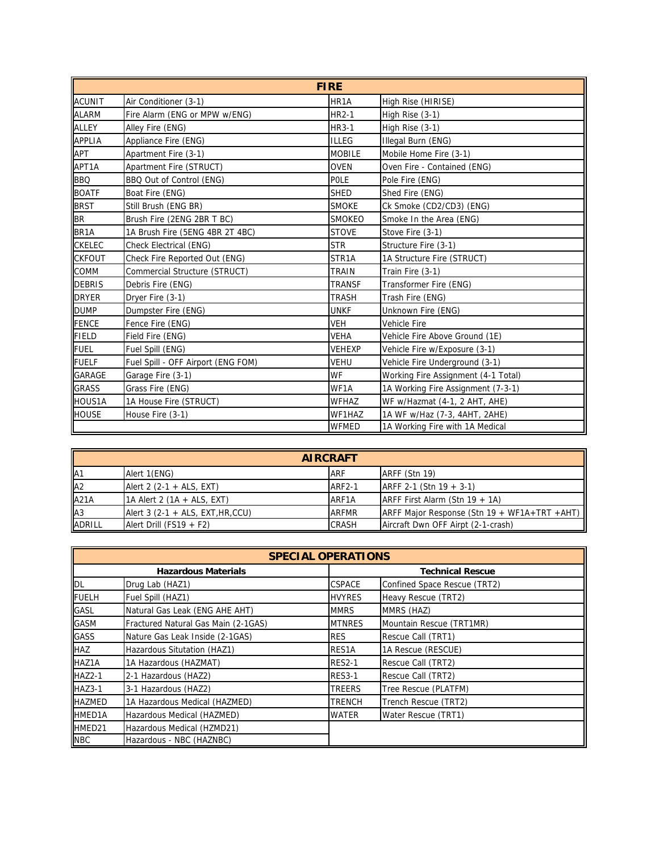| <b>FIRE</b>       |                                    |                   |                                     |
|-------------------|------------------------------------|-------------------|-------------------------------------|
| <b>ACUNIT</b>     | Air Conditioner (3-1)              | HR <sub>1</sub> A | High Rise (HIRISE)                  |
| <b>ALARM</b>      | Fire Alarm (ENG or MPW w/ENG)      | <b>HR2-1</b>      | High Rise (3-1)                     |
| <b>ALLEY</b>      | Alley Fire (ENG)                   | HR3-1             | High Rise (3-1)                     |
| <b>APPLIA</b>     | Appliance Fire (ENG)               | <b>ILLEG</b>      | Illegal Burn (ENG)                  |
| APT               | Apartment Fire (3-1)               | <b>MOBILE</b>     | Mobile Home Fire (3-1)              |
| APT1A             | Apartment Fire (STRUCT)            | <b>OVEN</b>       | Oven Fire - Contained (ENG)         |
| <b>BBQ</b>        | BBQ Out of Control (ENG)           | POLE              | Pole Fire (ENG)                     |
| <b>BOATF</b>      | Boat Fire (ENG)                    | <b>SHED</b>       | Shed Fire (ENG)                     |
| <b>BRST</b>       | Still Brush (ENG BR)               | <b>SMOKE</b>      | Ck Smoke (CD2/CD3) (ENG)            |
| <b>BR</b>         | Brush Fire (2ENG 2BR T BC)         | <b>SMOKEO</b>     | Smoke In the Area (ENG)             |
| BR <sub>1</sub> A | 1A Brush Fire (5ENG 4BR 2T 4BC)    | <b>STOVE</b>      | Stove Fire (3-1)                    |
| <b>CKELEC</b>     | Check Electrical (ENG)             | <b>STR</b>        | Structure Fire (3-1)                |
| <b>CKFOUT</b>     | Check Fire Reported Out (ENG)      | STR1A             | 1A Structure Fire (STRUCT)          |
| <b>COMM</b>       | Commercial Structure (STRUCT)      | <b>TRAIN</b>      | Train Fire (3-1)                    |
| <b>DEBRIS</b>     | Debris Fire (ENG)                  | <b>TRANSF</b>     | Transformer Fire (ENG)              |
| <b>DRYER</b>      | Dryer Fire (3-1)                   | <b>TRASH</b>      | Trash Fire (ENG)                    |
| <b>DUMP</b>       | Dumpster Fire (ENG)                | <b>UNKF</b>       | Unknown Fire (ENG)                  |
| <b>FENCE</b>      | Fence Fire (ENG)                   | <b>VEH</b>        | Vehicle Fire                        |
| <b>FIELD</b>      | Field Fire (ENG)                   | <b>VEHA</b>       | Vehicle Fire Above Ground (1E)      |
| <b>FUEL</b>       | Fuel Spill (ENG)                   | <b>VEHEXP</b>     | Vehicle Fire w/Exposure (3-1)       |
| <b>FUELF</b>      | Fuel Spill - OFF Airport (ENG FOM) | <b>VEHU</b>       | Vehicle Fire Underground (3-1)      |
| <b>GARAGE</b>     | Garage Fire (3-1)                  | <b>WF</b>         | Working Fire Assignment (4-1 Total) |
| <b>GRASS</b>      | Grass Fire (ENG)                   | WF1A              | 1A Working Fire Assignment (7-3-1)  |
| HOUS1A            | 1A House Fire (STRUCT)             | <b>WFHAZ</b>      | WF w/Hazmat (4-1, 2 AHT, AHE)       |
| <b>HOUSE</b>      | House Fire (3-1)                   | WF1HAZ            | 1A WF w/Haz (7-3, 4AHT, 2AHE)       |
|                   |                                    | <b>WFMED</b>      | 1A Working Fire with 1A Medical     |

| <b>AIRCRAFT</b> |                                     |               |                                              |
|-----------------|-------------------------------------|---------------|----------------------------------------------|
| A <sub>1</sub>  | Alert 1(ENG)                        | <b>ARF</b>    | ARFF (Stn 19)                                |
| A <sub>2</sub>  | Alert 2 $(2-1 + ALS, EXT)$          | <b>ARF2-1</b> | ARFF 2-1 (Stn 19 + 3-1)                      |
| A21A            | 1A Alert 2 (1A + ALS, EXT)          | ARF1A         | ARFF First Alarm (Stn $19 + 1$ A)            |
| A3              | Alert 3 $(2-1 + ALS, EXT, HR, CCU)$ | <b>ARFMR</b>  | ARFF Major Response (Stn 19 + WF1A+TRT +AHT) |
| <b>ADRILL</b>   | Alert Drill (FS19 + F2)             | <b>CRASH</b>  | Aircraft Dwn OFF Airpt (2-1-crash)           |

| <b>SPECIAL OPERATIONS</b>  |                                     |               |                              |
|----------------------------|-------------------------------------|---------------|------------------------------|
| <b>Hazardous Materials</b> |                                     |               | <b>Technical Rescue</b>      |
| DL                         | Drug Lab (HAZ1)                     | <b>CSPACE</b> | Confined Space Rescue (TRT2) |
| <b>FUELH</b>               | Fuel Spill (HAZ1)                   | <b>HVYRES</b> | Heavy Rescue (TRT2)          |
| GASL                       | Natural Gas Leak (ENG AHE AHT)      | <b>MMRS</b>   | MMRS (HAZ)                   |
| <b>GASM</b>                | Fractured Natural Gas Main (2-1GAS) | <b>MTNRES</b> | Mountain Rescue (TRT1MR)     |
| <b>GASS</b>                | Nature Gas Leak Inside (2-1GAS)     | <b>RES</b>    | Rescue Call (TRT1)           |
| <b>HAZ</b>                 | Hazardous Situtation (HAZ1)         | RES1A         | 1A Rescue (RESCUE)           |
| HAZ1A                      | 1A Hazardous (HAZMAT)               | <b>RES2-1</b> | Rescue Call (TRT2)           |
| <b>HAZ2-1</b>              | 2-1 Hazardous (HAZ2)                | <b>RES3-1</b> | Rescue Call (TRT2)           |
| <b>HAZ3-1</b>              | 3-1 Hazardous (HAZ2)                | <b>TREERS</b> | Tree Rescue (PLATFM)         |
| <b>HAZMED</b>              | 1A Hazardous Medical (HAZMED)       | <b>TRENCH</b> | Trench Rescue (TRT2)         |
| <b>HMED1A</b>              | Hazardous Medical (HAZMED)          | <b>WATER</b>  | Water Rescue (TRT1)          |
| HMED21                     | Hazardous Medical (HZMD21)          |               |                              |
| <b>NBC</b>                 | Hazardous - NBC (HAZNBC)            |               |                              |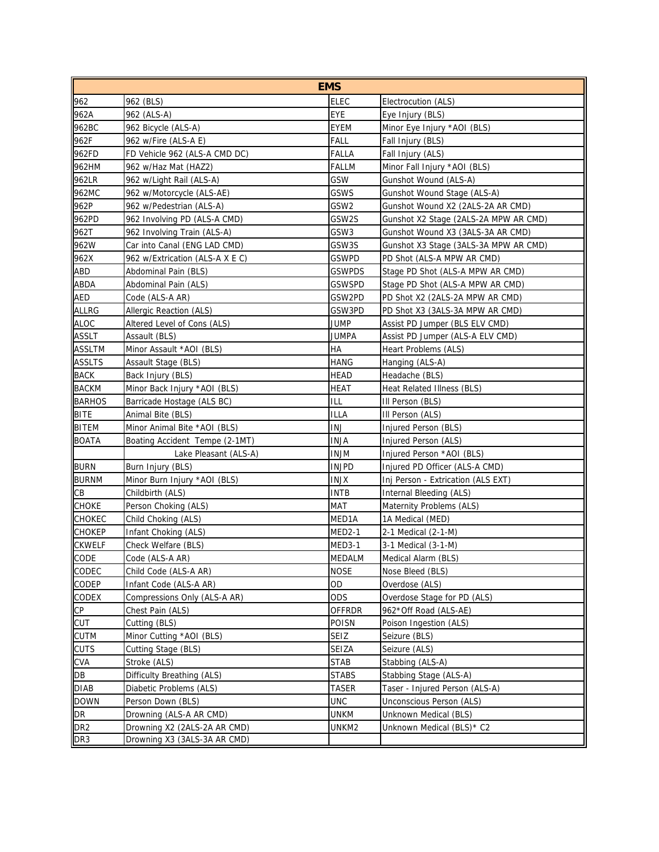| <b>EMS</b>      |                                 |               |                                       |
|-----------------|---------------------------------|---------------|---------------------------------------|
| 962             | 962 (BLS)                       | <b>ELEC</b>   | Electrocution (ALS)                   |
| 962A            | 962 (ALS-A)                     | EYE           | Eye Injury (BLS)                      |
| 962BC           | 962 Bicycle (ALS-A)             | EYEM          | Minor Eye Injury *AOI (BLS)           |
| 962F            | 962 w/Fire (ALS-A E)            | FALL          | Fall Injury (BLS)                     |
| 962FD           | FD Vehicle 962 (ALS-A CMD DC)   | FALLA         | Fall Injury (ALS)                     |
| 962HM           | 962 w/Haz Mat (HAZ2)            | <b>FALLM</b>  | Minor Fall Injury *AOI (BLS)          |
| 962LR           | 962 w/Light Rail (ALS-A)        | GSW           | Gunshot Wound (ALS-A)                 |
| 962MC           | 962 w/Motorcycle (ALS-AE)       | GSWS          | Gunshot Wound Stage (ALS-A)           |
| 962P            | 962 w/Pedestrian (ALS-A)        | GSW2          | Gunshot Wound X2 (2ALS-2A AR CMD)     |
| 962PD           | 962 Involving PD (ALS-A CMD)    | GSW2S         | Gunshot X2 Stage (2ALS-2A MPW AR CMD) |
| 962T            | 962 Involving Train (ALS-A)     | GSW3          | Gunshot Wound X3 (3ALS-3A AR CMD)     |
| 962W            | Car into Canal (ENG LAD CMD)    | GSW3S         | Gunshot X3 Stage (3ALS-3A MPW AR CMD) |
| 962X            | 962 w/Extrication (ALS-A X E C) | gswpd         | PD Shot (ALS-A MPW AR CMD)            |
| ABD             | Abdominal Pain (BLS)            | GSWPDS        | Stage PD Shot (ALS-A MPW AR CMD)      |
| ABDA            | Abdominal Pain (ALS)            | gswspd        | Stage PD Shot (ALS-A MPW AR CMD)      |
| AED             | Code (ALS-A AR)                 | GSW2PD        | PD Shot X2 (2ALS-2A MPW AR CMD)       |
| ALLRG           | Allergic Reaction (ALS)         | GSW3PD        | PD Shot X3 (3ALS-3A MPW AR CMD)       |
| <b>ALOC</b>     | Altered Level of Cons (ALS)     | JUMP          | Assist PD Jumper (BLS ELV CMD)        |
| <b>ASSLT</b>    | Assault (BLS)                   | JUMPA         | Assist PD Jumper (ALS-A ELV CMD)      |
| <b>ASSLTM</b>   | Minor Assault *AOI (BLS)        | НA            | Heart Problems (ALS)                  |
| <b>ASSLTS</b>   | Assault Stage (BLS)             | <b>HANG</b>   | Hanging (ALS-A)                       |
| <b>BACK</b>     | Back Injury (BLS)               | HEAD          | Headache (BLS)                        |
| <b>BACKM</b>    | Minor Back Injury *AOI (BLS)    | HEAT          | Heat Related Illness (BLS)            |
| <b>BARHOS</b>   | Barricade Hostage (ALS BC)      | ILL           | III Person (BLS)                      |
| <b>BITE</b>     | Animal Bite (BLS)               | <b>ILLA</b>   | III Person (ALS)                      |
| <b>BITEM</b>    | Minor Animal Bite *AOI (BLS)    | INJ           | Injured Person (BLS)                  |
| <b>BOATA</b>    | Boating Accident Tempe (2-1MT)  | <b>INJA</b>   | Injured Person (ALS)                  |
|                 | Lake Pleasant (ALS-A)           | <b>INJM</b>   | Injured Person *AOI (BLS)             |
| <b>BURN</b>     | Burn Injury (BLS)               | <b>INJPD</b>  | Injured PD Officer (ALS-A CMD)        |
| <b>BURNM</b>    | Minor Burn Injury *AOI (BLS)    | <b>INJX</b>   | Inj Person - Extrication (ALS EXT)    |
| CB              | Childbirth (ALS)                | INTB          | Internal Bleeding (ALS)               |
| <b>CHOKE</b>    | Person Choking (ALS)            | MAT           | Maternity Problems (ALS)              |
| <b>CHOKEC</b>   | Child Choking (ALS)             | MED1A         | 1A Medical (MED)                      |
| <b>CHOKEP</b>   | Infant Choking (ALS)            | <b>MED2-1</b> | 2-1 Medical (2-1-M)                   |
| <b>CKWELF</b>   | Check Welfare (BLS)             | MED3-1        | 3-1 Medical (3-1-M)                   |
| <b>CODE</b>     | Code (ALS-A AR)                 | MEDALM        | Medical Alarm (BLS)                   |
| CODEC           | Child Code (ALS-A AR)           | <b>NOSE</b>   | Nose Bleed (BLS)                      |
| CODEP           | Infant Code (ALS-A AR)          | OD            | Overdose (ALS)                        |
| <b>CODEX</b>    | Compressions Only (ALS-A AR)    | ODS           | Overdose Stage for PD (ALS)           |
| <b>CP</b>       | Chest Pain (ALS)                | <b>OFFRDR</b> | 962*Off Road (ALS-AE)                 |
| <b>CUT</b>      | Cutting (BLS)                   | <b>POISN</b>  | Poison Ingestion (ALS)                |
| <b>CUTM</b>     | Minor Cutting *AOI (BLS)        | <b>SEIZ</b>   | Seizure (BLS)                         |
| <b>CUTS</b>     | Cutting Stage (BLS)             | SEIZA         | Seizure (ALS)                         |
| CVA             | Stroke (ALS)                    | <b>STAB</b>   | Stabbing (ALS-A)                      |
| DB              | Difficulty Breathing (ALS)      | <b>STABS</b>  | Stabbing Stage (ALS-A)                |
| <b>DIAB</b>     | Diabetic Problems (ALS)         | TASER         | Taser - Injured Person (ALS-A)        |
| <b>DOWN</b>     | Person Down (BLS)               | <b>UNC</b>    | Unconscious Person (ALS)              |
| DR              | Drowning (ALS-A AR CMD)         | UNKM          | Unknown Medical (BLS)                 |
| DR <sub>2</sub> | Drowning X2 (2ALS-2A AR CMD)    | UNKM2         | Unknown Medical (BLS)* C2             |
| DR <sub>3</sub> | Drowning X3 (3ALS-3A AR CMD)    |               |                                       |